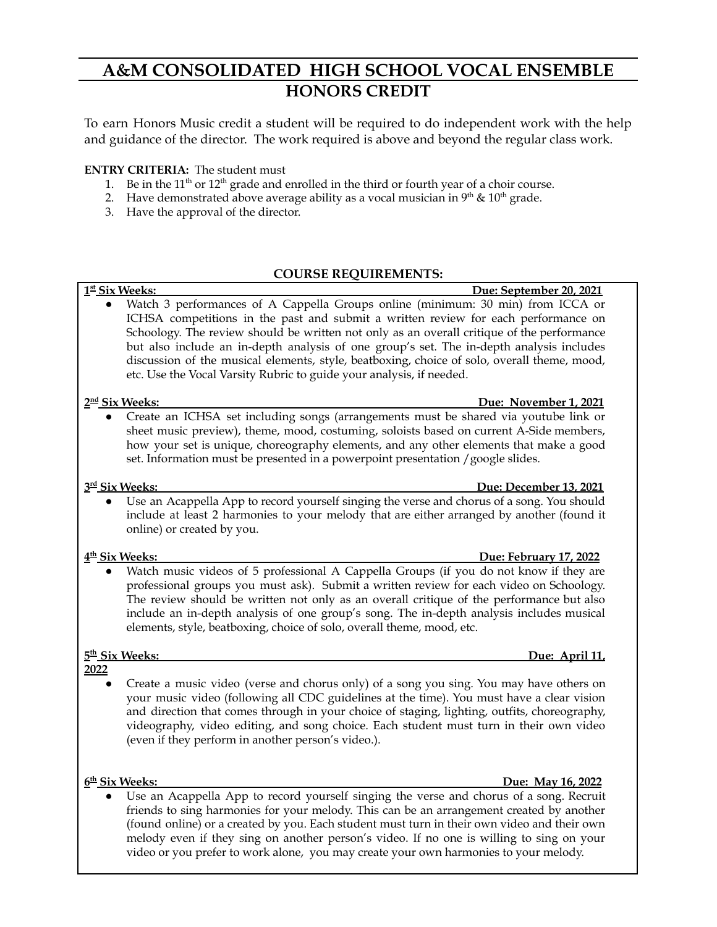# **A&M CONSOLIDATED HIGH SCHOOL VOCAL ENSEMBLE HONORS CREDIT**

To earn Honors Music credit a student will be required to do independent work with the help and guidance of the director. The work required is above and beyond the regular class work.

## **ENTRY CRITERIA:** The student must

- 1. Be in the  $11<sup>th</sup>$  or  $12<sup>th</sup>$  grade and enrolled in the third or fourth year of a choir course.
- 2. Have demonstrated above average ability as a vocal musician in  $9<sup>th</sup>$  &  $10<sup>th</sup>$  grade.
- 3. Have the approval of the director.

## **COURSE REQUIREMENTS:**

#### 1st Six Weeks: **Due:** September 20, 2021 Watch 3 performances of A Cappella Groups online (minimum: 30 min) from ICCA or ICHSA competitions in the past and submit a written review for each performance on Schoology. The review should be written not only as an overall critique of the performance but also include an in-depth analysis of one group's set. The in-depth analysis includes discussion of the musical elements, style, beatboxing, choice of solo, overall theme, mood, etc. Use the Vocal Varsity Rubric to guide your analysis, if needed.

#### 2<sup>nd</sup> Six Weeks:

## **Due: November 1, 2021**

● Create an ICHSA set including songs (arrangements must be shared via youtube link or sheet music preview), theme, mood, costuming, soloists based on current A-Side members, how your set is unique, choreography elements, and any other elements that make a good set. Information must be presented in a powerpoint presentation /google slides.

#### $3<sup>rd</sup>$  Six Weeks:

# **Due:** December 13, 2021

Use an Acappella App to record yourself singing the verse and chorus of a song. You should include at least 2 harmonies to your melody that are either arranged by another (found it online) or created by you.

# 4<sup>th</sup> Six Weeks:

**th Six Weeks: Due: February 17, 2022** Watch music videos of 5 professional A Cappella Groups (if you do not know if they are professional groups you must ask). Submit a written review for each video on Schoology. The review should be written not only as an overall critique of the performance but also include an in-depth analysis of one group's song. The in-depth analysis includes musical elements, style, beatboxing, choice of solo, overall theme, mood, etc.

# 5<sup>th</sup> Six Weeks:

**2022**

Create a music video (verse and chorus only) of a song you sing. You may have others on your music video (following all CDC guidelines at the time). You must have a clear vision and direction that comes through in your choice of staging, lighting, outfits, choreography, videography, video editing, and song choice. Each student must turn in their own video (even if they perform in another person's video.).

6<sup>th</sup> Six Weeks:

# **th Six Weeks: Due: May 16, 2022**

**Due: April 11** 

Use an Acappella App to record yourself singing the verse and chorus of a song. Recruit friends to sing harmonies for your melody. This can be an arrangement created by another (found online) or a created by you. Each student must turn in their own video and their own melody even if they sing on another person's video. If no one is willing to sing on your video or you prefer to work alone, you may create your own harmonies to your melody.